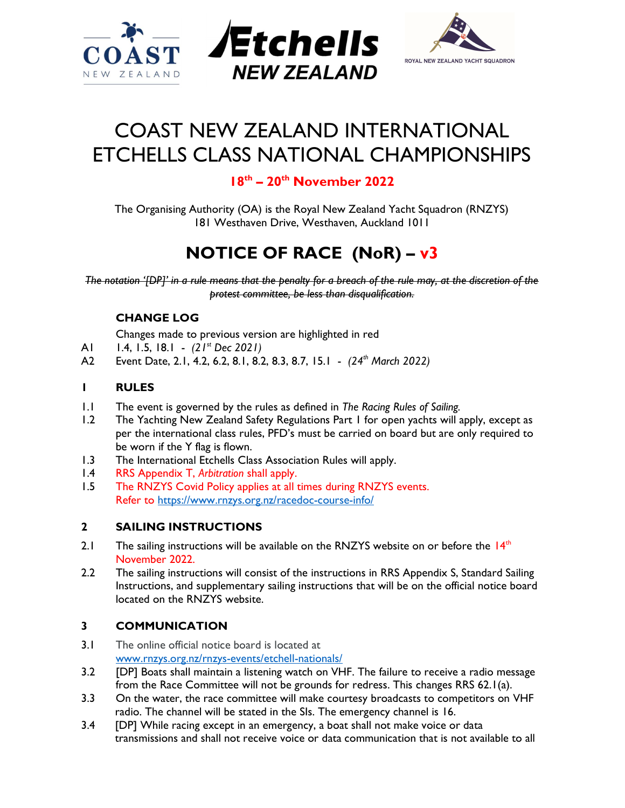



# COAST NEW ZEALAND INTERNATIONAL ETCHELLS CLASS NATIONAL CHAMPIONSHIPS

## $18<sup>th</sup> - 20<sup>th</sup>$  November 2022

The Organising Authority (OA) is the Royal New Zealand Yacht Squadron (RNZYS) 181 Westhaven Drive, Westhaven, Auckland 1011

## NOTICE OF RACE (NoR) – v3

The notation '[DP]' in a rule means that the penalty for a breach of the rule may, at the discretion of the protest committee, be less than disqualification.

### CHANGE LOG

- Changes made to previous version are highlighted in red
- A1 1.4, 1.5, 18.1  $(21<sup>st</sup> Dec 2021)$
- A2 Event Date, 2.1, 4.2, 6.2, 8.1, 8.2, 8.3, 8.7, 15.1 (24<sup>th</sup> March 2022)

#### 1 RULES

- 1.1 The event is governed by the rules as defined in The Racing Rules of Sailing.
- 1.2 The Yachting New Zealand Safety Regulations Part 1 for open yachts will apply, except as per the international class rules, PFD's must be carried on board but are only required to be worn if the Y flag is flown.
- 1.3 The International Etchells Class Association Rules will apply.
- 1.4 RRS Appendix T, Arbitration shall apply.
- 1.5 The RNZYS Covid Policy applies at all times during RNZYS events. Refer to https://www.rnzys.org.nz/racedoc-course-info/

#### 2 SAILING INSTRUCTIONS

- 2.1 The sailing instructions will be available on the RNZYS website on or before the  $14<sup>th</sup>$ November 2022.
- 2.2 The sailing instructions will consist of the instructions in RRS Appendix S, Standard Sailing Instructions, and supplementary sailing instructions that will be on the official notice board located on the RNZYS website.

#### 3 COMMUNICATION

- 3.1 The online official notice board is located at www.rnzys.org.nz/rnzys-events/etchell-nationals/
- 3.2 [DP] Boats shall maintain a listening watch on VHF. The failure to receive a radio message from the Race Committee will not be grounds for redress. This changes RRS 62.1(a).
- 3.3 On the water, the race committee will make courtesy broadcasts to competitors on VHF radio. The channel will be stated in the SIs. The emergency channel is 16.
- 3.4 [DP] While racing except in an emergency, a boat shall not make voice or data transmissions and shall not receive voice or data communication that is not available to all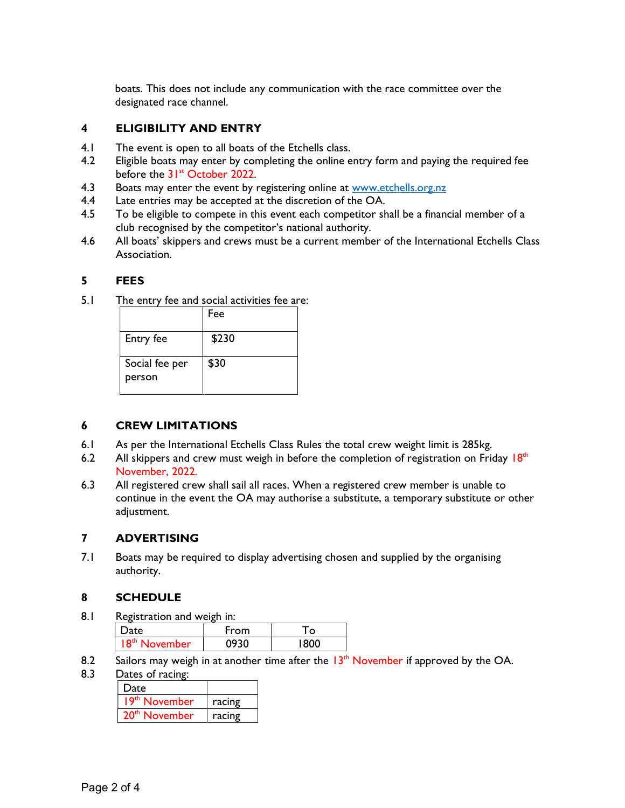boats. This does not include any communication with the race committee over the designated race channel.

#### 4 ELIGIBILITY AND ENTRY

- 4.1 The event is open to all boats of the Etchells class.
- 4.2 Eligible boats may enter by completing the online entry form and paying the required fee before the 31<sup>st</sup> October 2022.
- 4.3 Boats may enter the event by registering online at www.etchells.org.nz
- 4.4 Late entries may be accepted at the discretion of the OA.
- 4.5 To be eligible to compete in this event each competitor shall be a financial member of a club recognised by the competitor's national authority.
- 4.6 All boats' skippers and crews must be a current member of the International Etchells Class Association.

#### 5 FEES

5.1 The entry fee and social activities fee are:

|                          | Fee   |
|--------------------------|-------|
| Entry fee                | \$230 |
| Social fee per<br>person | \$30  |

#### 6 CREW LIMITATIONS

- 6.1 As per the International Etchells Class Rules the total crew weight limit is 285kg.
- 6.2 All skippers and crew must weigh in before the completion of registration on Friday  $18<sup>th</sup>$ November, 2022.
- 6.3 All registered crew shall sail all races. When a registered crew member is unable to continue in the event the OA may authorise a substitute, a temporary substitute or other adjustment.

#### 7 ADVERTISING

7.1 Boats may be required to display advertising chosen and supplied by the organising authority.

#### 8 SCHEDULE

8.1 Registration and weigh in:

| uce -    | ⊦rom | O |
|----------|------|---|
| Jovember |      |   |

8.2 Sailors may weigh in at another time after the  $13<sup>th</sup>$  November if approved by the OA.

#### 8.3 Dates of racing:

| Date                      |        |  |  |  |
|---------------------------|--------|--|--|--|
| 19th November             | racing |  |  |  |
| 20 <sup>th</sup> November | racing |  |  |  |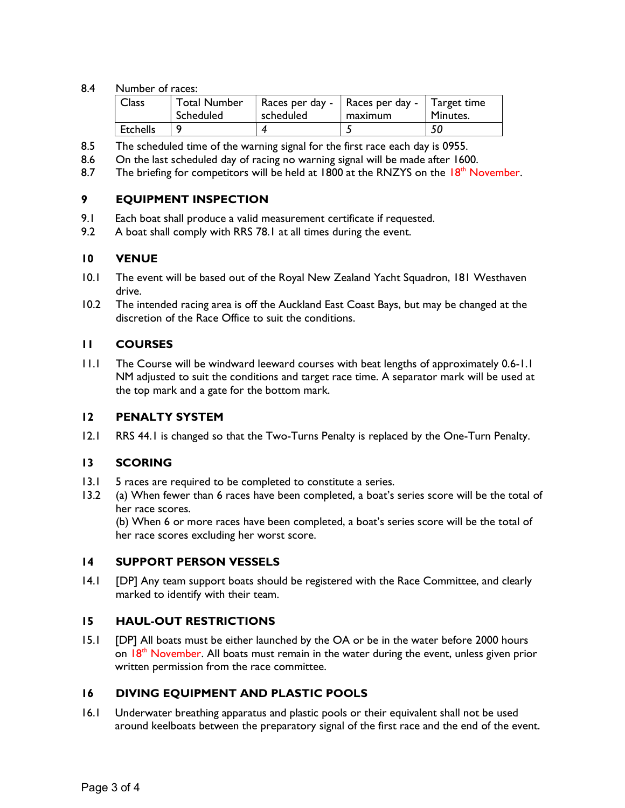#### 8.4 Number of races:

| <b>Class</b>    | <b>Total Number</b><br>Scheduled | Races per day -   Races per day -   Target time<br>scheduled | maximum | Minutes. |
|-----------------|----------------------------------|--------------------------------------------------------------|---------|----------|
| <b>Etchells</b> |                                  |                                                              |         | 50       |

- 8.5 The scheduled time of the warning signal for the first race each day is 0955.
- 8.6 On the last scheduled day of racing no warning signal will be made after 1600.
- 8.7 The briefing for competitors will be held at 1800 at the RNZYS on the  $18<sup>th</sup>$  November.

#### 9 EQUIPMENT INSPECTION

- 9.1 Each boat shall produce a valid measurement certificate if requested.
- 9.2 A boat shall comply with RRS 78.1 at all times during the event.

#### 10 VENUE

- 10.1 The event will be based out of the Royal New Zealand Yacht Squadron, 181 Westhaven drive.
- 10.2 The intended racing area is off the Auckland East Coast Bays, but may be changed at the discretion of the Race Office to suit the conditions.

#### 11 COURSES

11.1 The Course will be windward leeward courses with beat lengths of approximately 0.6-1.1 NM adjusted to suit the conditions and target race time. A separator mark will be used at the top mark and a gate for the bottom mark.

#### 12 PENALTY SYSTEM

12.1 RRS 44.1 is changed so that the Two-Turns Penalty is replaced by the One-Turn Penalty.

#### 13 SCORING

- 13.1 5 races are required to be completed to constitute a series.
- 13.2 (a) When fewer than 6 races have been completed, a boat's series score will be the total of her race scores.

(b) When 6 or more races have been completed, a boat's series score will be the total of her race scores excluding her worst score.

#### 14 SUPPORT PERSON VESSELS

14.1 [DP] Any team support boats should be registered with the Race Committee, and clearly marked to identify with their team.

#### 15 HAUL-OUT RESTRICTIONS

15.1 [DP] All boats must be either launched by the OA or be in the water before 2000 hours on  $18<sup>th</sup>$  November. All boats must remain in the water during the event, unless given prior written permission from the race committee.

#### 16 DIVING EQUIPMENT AND PLASTIC POOLS

16.1 Underwater breathing apparatus and plastic pools or their equivalent shall not be used around keelboats between the preparatory signal of the first race and the end of the event.